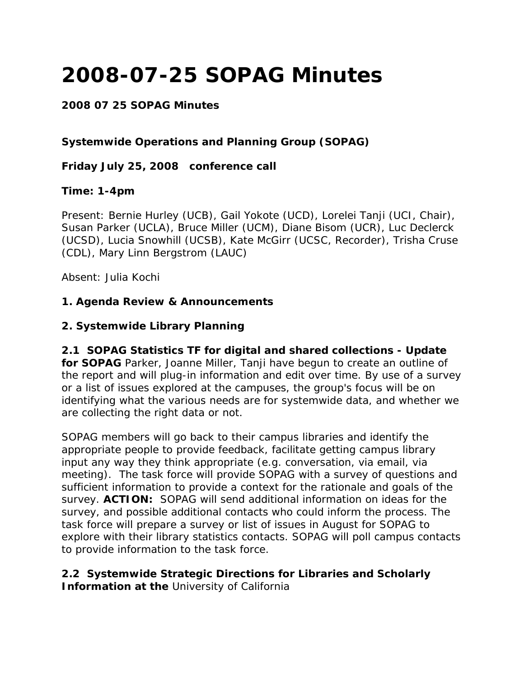# **2008-07-25 SOPAG Minutes**

### **2008 07 25 SOPAG Minutes**

### **Systemwide Operations and Planning Group (SOPAG)**

#### **Friday July 25, 2008 conference call**

#### **Time: 1-4pm**

Present: Bernie Hurley (UCB), Gail Yokote (UCD), Lorelei Tanji (UCI, Chair), Susan Parker (UCLA), Bruce Miller (UCM), Diane Bisom (UCR), Luc Declerck (UCSD), Lucia Snowhill (UCSB), Kate McGirr (UCSC, Recorder), Trisha Cruse (CDL), Mary Linn Bergstrom (LAUC)

Absent: Julia Kochi

#### **1. Agenda Review & Announcements**

#### **2. Systemwide Library Planning**

# **2.1 SOPAG Statistics TF for digital and shared collections - Update**

**for SOPAG** Parker, Joanne Miller, Tanji have begun to create an outline of the report and will plug-in information and edit over time. By use of a survey or a list of issues explored at the campuses, the group's focus will be on identifying what the various needs are for systemwide data, and whether we are collecting the right data or not.

SOPAG members will go back to their campus libraries and identify the appropriate people to provide feedback, facilitate getting campus library input any way they think appropriate (e.g. conversation, via email, via meeting). The task force will provide SOPAG with a survey of questions and sufficient information to provide a context for the rationale and goals of the survey. **ACTION:** SOPAG will send additional information on ideas for the survey, and possible additional contacts who could inform the process. The task force will prepare a survey or list of issues in August for SOPAG to explore with their library statistics contacts. SOPAG will poll campus contacts to provide information to the task force.

#### **2.2 Systemwide Strategic Directions for Libraries and Scholarly Information at the** University of California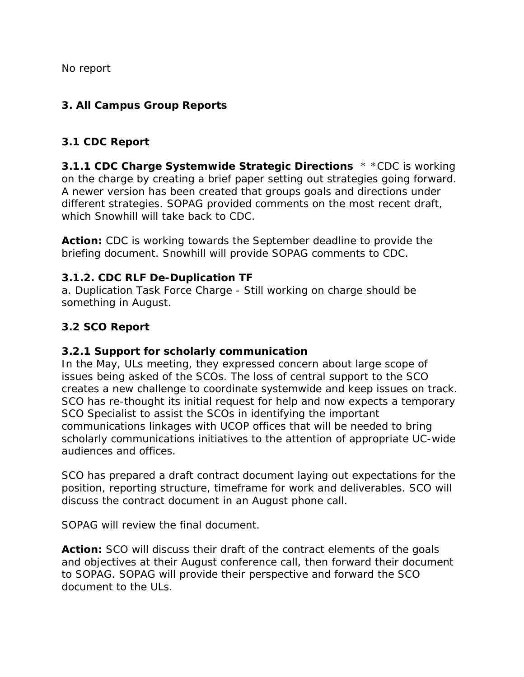No report

### **3. All Campus Group Reports**

#### **3.1 CDC Report**

**3.1.1 CDC Charge Systemwide Strategic Directions** \* \*CDC is working on the charge by creating a brief paper setting out strategies going forward. A newer version has been created that groups goals and directions under different strategies. SOPAG provided comments on the most recent draft, which Snowhill will take back to CDC.

**Action:** CDC is working towards the September deadline to provide the briefing document. Snowhill will provide SOPAG comments to CDC.

#### **3.1.2. CDC RLF De-Duplication TF**

a. Duplication Task Force Charge - Still working on charge should be something in August.

# **3.2 SCO Report**

#### **3.2.1 Support for scholarly communication**

In the May, ULs meeting, they expressed concern about large scope of issues being asked of the SCOs. The loss of central support to the SCO creates a new challenge to coordinate systemwide and keep issues on track. SCO has re-thought its initial request for help and now expects a temporary SCO Specialist to assist the SCOs in identifying the important communications linkages with UCOP offices that will be needed to bring scholarly communications initiatives to the attention of appropriate UC-wide audiences and offices.

SCO has prepared a draft contract document laying out expectations for the position, reporting structure, timeframe for work and deliverables. SCO will discuss the contract document in an August phone call.

SOPAG will review the final document.

**Action:** SCO will discuss their draft of the contract elements of the goals and objectives at their August conference call, then forward their document to SOPAG. SOPAG will provide their perspective and forward the SCO document to the ULs.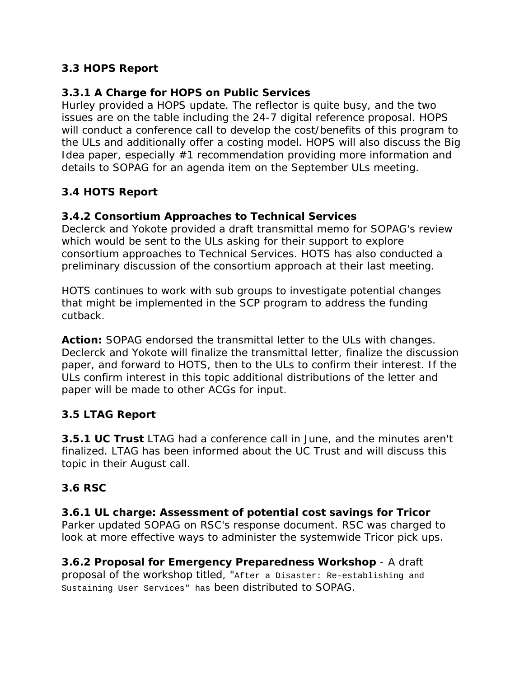# **3.3 HOPS Report**

### **3.3.1 A Charge for HOPS on Public Services**

Hurley provided a HOPS update. The reflector is quite busy, and the two issues are on the table including the 24-7 digital reference proposal. HOPS will conduct a conference call to develop the cost/benefits of this program to the ULs and additionally offer a costing model. HOPS will also discuss the Big Idea paper, especially #1 recommendation providing more information and details to SOPAG for an agenda item on the September ULs meeting.

# **3.4 HOTS Report**

# **3.4.2 Consortium Approaches to Technical Services**

Declerck and Yokote provided a draft transmittal memo for SOPAG's review which would be sent to the ULs asking for their support to explore consortium approaches to Technical Services. HOTS has also conducted a preliminary discussion of the consortium approach at their last meeting.

HOTS continues to work with sub groups to investigate potential changes that might be implemented in the SCP program to address the funding cutback.

**Action:** SOPAG endorsed the transmittal letter to the ULs with changes. Declerck and Yokote will finalize the transmittal letter, finalize the discussion paper, and forward to HOTS, then to the ULs to confirm their interest. If the ULs confirm interest in this topic additional distributions of the letter and paper will be made to other ACGs for input.

# **3.5 LTAG Report**

**3.5.1 UC Trust** LTAG had a conference call in June, and the minutes aren't finalized. LTAG has been informed about the UC Trust and will discuss this topic in their August call.

# **3.6 RSC**

**3.6.1 UL charge: Assessment of potential cost savings for Tricor** Parker updated SOPAG on RSC's response document. RSC was charged to look at more effective ways to administer the systemwide Tricor pick ups.

**3.6.2 Proposal for Emergency Preparedness Workshop** - A draft proposal of the workshop titled, "After a Disaster: Re-establishing and Sustaining User Services" has been distributed to SOPAG.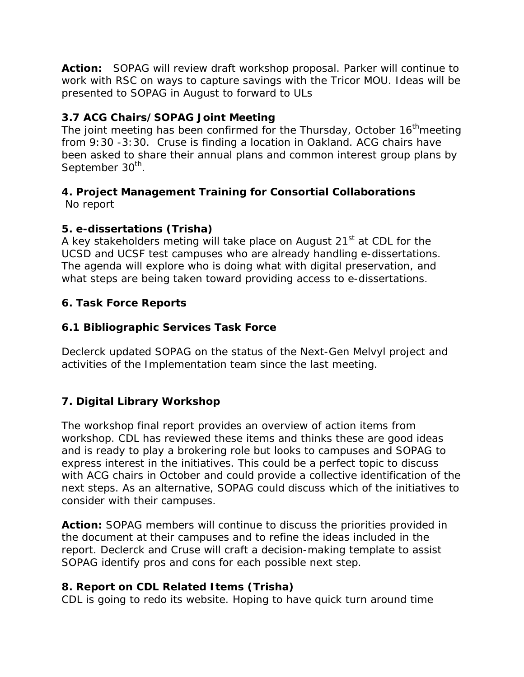**Action:** SOPAG will review draft workshop proposal. Parker will continue to work with RSC on ways to capture savings with the Tricor MOU. Ideas will be presented to SOPAG in August to forward to ULs

# **3.7 ACG Chairs/SOPAG Joint Meeting**

The joint meeting has been confirmed for the Thursday, October  $16<sup>th</sup>$ meeting from 9:30 -3:30. Cruse is finding a location in Oakland. ACG chairs have been asked to share their annual plans and common interest group plans by September 30<sup>th</sup>.

#### **4. Project Management Training for Consortial Collaborations**  No report

# **5. e-dissertations (Trisha)**

A key stakeholders meting will take place on August 21<sup>st</sup> at CDL for the UCSD and UCSF test campuses who are already handling e-dissertations. The agenda will explore who is doing what with digital preservation, and what steps are being taken toward providing access to e-dissertations.

# **6. Task Force Reports**

#### **6.1 Bibliographic Services Task Force**

Declerck updated SOPAG on the status of the Next-Gen Melvyl project and activities of the Implementation team since the last meeting.

# **7. Digital Library Workshop**

The workshop final report provides an overview of action items from workshop. CDL has reviewed these items and thinks these are good ideas and is ready to play a brokering role but looks to campuses and SOPAG to express interest in the initiatives. This could be a perfect topic to discuss with ACG chairs in October and could provide a collective identification of the next steps. As an alternative, SOPAG could discuss which of the initiatives to consider with their campuses.

**Action:** SOPAG members will continue to discuss the priorities provided in the document at their campuses and to refine the ideas included in the report. Declerck and Cruse will craft a decision-making template to assist SOPAG identify pros and cons for each possible next step.

# **8. Report on CDL Related Items (Trisha)**

CDL is going to redo its website. Hoping to have quick turn around time